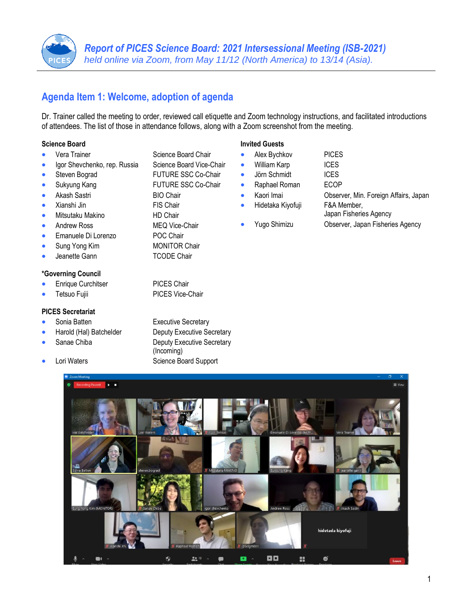# **Agenda Item 1: Welcome, adoption of agenda**

Dr. Trainer called the meeting to order, reviewed call etiquette and Zoom technology instructions, and facilitated introductions of attendees. The list of those in attendance follows, along with a Zoom screenshot from the meeting.

#### **Science Board**

- Vera Trainer Science Board Chair
- Igor Shevchenko, rep. Russia Science Board Vice-Chair
- Steven Bograd FUTURE SSC Co-Chair
- 
- Akash Sastri BIO Chair
- Xianshi Jin FIS Chair
- Mitsutaku Makino HD Chair
- Andrew Ross MEQ Vice-Chair
- Emanuele Di Lorenzo POC Chair
- **Sung Yong Kim MONITOR Chair**
- 

#### **\*Governing Council**

- Enrique Curchitser PICES Chair
- 

#### **PICES Secretariat**

- 
- 
- 
- 

**Invited Guests**

- 
- Sukyung Kang **FUTURE SSC Co-Chair** 
	-
	-
	-
	-
	- Jeanette Gann TCODE Chair

Tetsuo Fujii PICES Vice-Chair

• Sonia Batten Executive Secretary • Harold (Hal) Batchelder Deputy Executive Secretary **Sanae Chiba** Deputy Executive Secretary (Incoming) Lori Waters **Example 2** Science Board Support

#### • Alex Bychkov PICES William Karp **ICES** • Jörn Schmidt ICES • Raphael Roman ECOP • Kaori Imai Observer, Min. Foreign Affairs, Japan

- -
- Hidetaka Kiyofuji F&A Member, Japan Fisheries Agency
	- Yugo Shimizu Observer, Japan Fisheries Agency

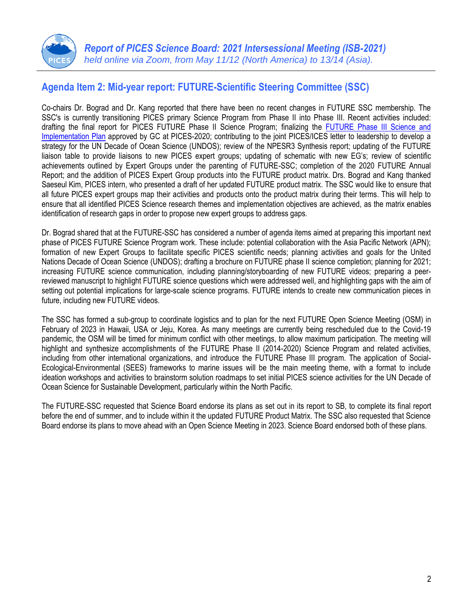

# **Agenda Item 2: Mid-year report: FUTURE-Scientific Steering Committee (SSC)**

Co-chairs Dr. Bograd and Dr. Kang reported that there have been no recent changes in FUTURE SSC membership. The SSC's is currently transitioning PICES primary Science Program from Phase II into Phase III. Recent activities included: drafting the final report for PICES FUTURE Phase II Science Program; finalizing the FUTURE Phase III Science and [Implementation Plan](https://meetings.pices.int/Members/Scientific-Programs/Materials/FUTURE/FUTURE-PhaseIII-Implementation-Plan.pdf) approved by GC at PICES-2020; contributing to the joint PICES/ICES letter to leadership to develop a strategy for the UN Decade of Ocean Science (UNDOS); review of the NPESR3 Synthesis report; updating of the FUTURE liaison table to provide liaisons to new PICES expert groups; updating of schematic with new EG's; review of scientific achievements outlined by Expert Groups under the parenting of FUTURE-SSC; completion of the 2020 FUTURE Annual Report; and the addition of PICES Expert Group products into the FUTURE product matrix. Drs. Bograd and Kang thanked Saeseul Kim, PICES intern, who presented a draft of her updated FUTURE product matrix. The SSC would like to ensure that all future PICES expert groups map their activities and products onto the product matrix during their terms. This will help to ensure that all identified PICES Science research themes and implementation objectives are achieved, as the matrix enables identification of research gaps in order to propose new expert groups to address gaps.

Dr. Bograd shared that at the FUTURE-SSC has considered a number of agenda items aimed at preparing this important next phase of PICES FUTURE Science Program work. These include: potential collaboration with the Asia Pacific Network (APN); formation of new Expert Groups to facilitate specific PICES scientific needs; planning activities and goals for the United Nations Decade of Ocean Science (UNDOS); drafting a brochure on FUTURE phase II science completion; planning for 2021; increasing FUTURE science communication, including planning/storyboarding of new FUTURE videos; preparing a peerreviewed manuscript to highlight FUTURE science questions which were addressed well, and highlighting gaps with the aim of setting out potential implications for large-scale science programs. FUTURE intends to create new communication pieces in future, including new FUTURE videos.

The SSC has formed a sub-group to coordinate logistics and to plan for the next FUTURE Open Science Meeting (OSM) in February of 2023 in Hawaii, USA or Jeju, Korea. As many meetings are currently being rescheduled due to the Covid-19 pandemic, the OSM will be timed for minimum conflict with other meetings, to allow maximum participation. The meeting will highlight and synthesize accomplishments of the FUTURE Phase II (2014-2020) Science Program and related activities, including from other international organizations, and introduce the FUTURE Phase III program. The application of Social-Ecological-Environmental (SEES) frameworks to marine issues will be the main meeting theme, with a format to include ideation workshops and activities to brainstorm solution roadmaps to set initial PICES science activities for the UN Decade of Ocean Science for Sustainable Development, particularly within the North Pacific.

The FUTURE-SSC requested that Science Board endorse its plans as set out in its report to SB, to complete its final report before the end of summer, and to include within it the updated FUTURE Product Matrix. The SSC also requested that Science Board endorse its plans to move ahead with an Open Science Meeting in 2023. Science Board endorsed both of these plans.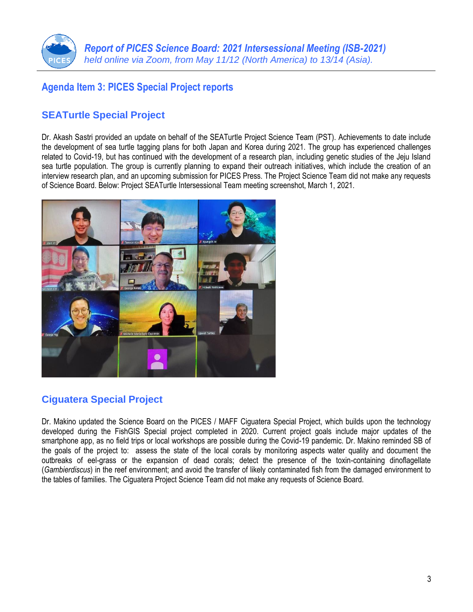

### **Agenda Item 3: PICES Special Project reports**

### **SEATurtle Special Project**

Dr. Akash Sastri provided an update on behalf of the SEATurtle Project Science Team (PST). Achievements to date include the development of sea turtle tagging plans for both Japan and Korea during 2021. The group has experienced challenges related to Covid-19, but has continued with the development of a research plan, including genetic studies of the Jeju Island sea turtle population. The group is currently planning to expand their outreach initiatives, which include the creation of an interview research plan, and an upcoming submission for PICES Press. The Project Science Team did not make any requests of Science Board. Below: Project SEATurtle Intersessional Team meeting screenshot, March 1, 2021.



# **Ciguatera Special Project**

Dr. Makino updated the Science Board on the PICES / MAFF Ciguatera Special Project, which builds upon the technology developed during the FishGIS Special project completed in 2020. Current project goals include major updates of the smartphone app, as no field trips or local workshops are possible during the Covid-19 pandemic. Dr. Makino reminded SB of the goals of the project to: assess the state of the local corals by monitoring aspects water quality and document the outbreaks of eel-grass or the expansion of dead corals; detect the presence of the toxin-containing dinoflagellate (*Gambierdiscus*) in the reef environment; and avoid the transfer of likely contaminated fish from the damaged environment to the tables of families. The Ciguatera Project Science Team did not make any requests of Science Board.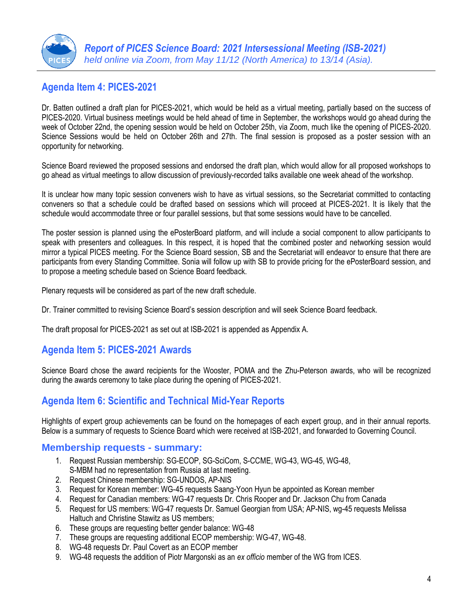

# **Agenda Item 4: PICES-2021**

Dr. Batten outlined a draft plan for PICES-2021, which would be held as a virtual meeting, partially based on the success of PICES-2020. Virtual business meetings would be held ahead of time in September, the workshops would go ahead during the week of October 22nd, the opening session would be held on October 25th, via Zoom, much like the opening of PICES-2020. Science Sessions would be held on October 26th and 27th. The final session is proposed as a poster session with an opportunity for networking.

Science Board reviewed the proposed sessions and endorsed the draft plan, which would allow for all proposed workshops to go ahead as virtual meetings to allow discussion of previously-recorded talks available one week ahead of the workshop.

It is unclear how many topic session conveners wish to have as virtual sessions, so the Secretariat committed to contacting conveners so that a schedule could be drafted based on sessions which will proceed at PICES-2021. It is likely that the schedule would accommodate three or four parallel sessions, but that some sessions would have to be cancelled.

The poster session is planned using the ePosterBoard platform, and will include a social component to allow participants to speak with presenters and colleagues. In this respect, it is hoped that the combined poster and networking session would mirror a typical PICES meeting. For the Science Board session, SB and the Secretariat will endeavor to ensure that there are participants from every Standing Committee. Sonia will follow up with SB to provide pricing for the ePosterBoard session, and to propose a meeting schedule based on Science Board feedback.

Plenary requests will be considered as part of the new draft schedule.

Dr. Trainer committed to revising Science Board's session description and will seek Science Board feedback.

The draft proposal for PICES-2021 as set out at ISB-2021 is appended as Appendix A.

### **Agenda Item 5: PICES-2021 Awards**

Science Board chose the award recipients for the Wooster, POMA and the Zhu-Peterson awards, who will be recognized during the awards ceremony to take place during the opening of PICES-2021.

### **Agenda Item 6: Scientific and Technical Mid-Year Reports**

Highlights of expert group achievements can be found on the homepages of each expert group, and in their annual reports. Below is a summary of requests to Science Board which were received at ISB-2021, and forwarded to Governing Council.

### **Membership requests - summary:**

- 1. Request Russian membership: SG-ECOP, SG-SciCom, S-CCME, WG-43, WG-45, WG-48, S-MBM had no representation from Russia at last meeting.
- 2. Request Chinese membership: SG-UNDOS, AP-NIS
- 3. Request for Korean member: WG-45 requests Saang-Yoon Hyun be appointed as Korean member
- 4. Request for Canadian members: WG-47 requests Dr. Chris Rooper and Dr. Jackson Chu from Canada
- 5. Request for US members: WG-47 requests Dr. Samuel Georgian from USA; AP-NIS, wg-45 requests Melissa Haltuch and Christine Stawitz as US members;
- 6. These groups are requesting better gender balance: WG-48
- 7. These groups are requesting additional ECOP membership: WG-47, WG-48.
- 8. WG-48 requests Dr. Paul Covert as an ECOP member
- 9. WG-48 requests the addition of Piotr Margonski as an *ex officio* member of the WG from ICES.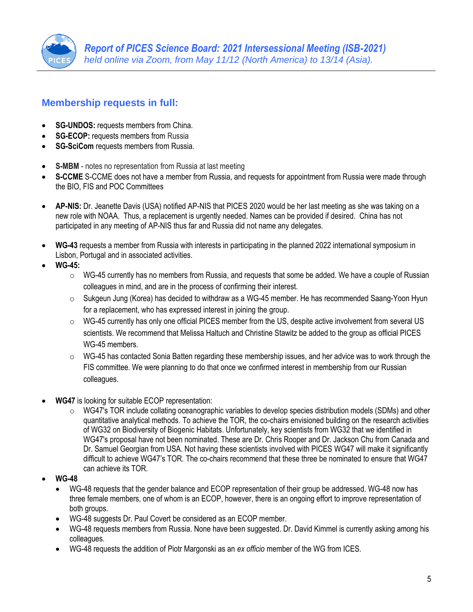

### **Membership requests in full:**

- **SG-UNDOS:** requests members from China.
- **SG-ECOP:** requests members from Russia
- **SG-SciCom** requests members from Russia.
- **S-MBM** notes no representation from Russia at last meeting
- **S-CCME** S-CCME does not have a member from Russia, and requests for appointment from Russia were made through the BIO, FIS and POC Committees
- **AP-NIS:** Dr. Jeanette Davis (USA) notified AP-NIS that PICES 2020 would be her last meeting as she was taking on a new role with NOAA. Thus, a replacement is urgently needed. Names can be provided if desired. China has not participated in any meeting of AP-NIS thus far and Russia did not name any delegates.
- **WG-43** requests a member from Russia with interests in participating in the planned 2022 international symposium in Lisbon, Portugal and in associated activities.
- **WG-45:**
	- $\circ$  WG-45 currently has no members from Russia, and requests that some be added. We have a couple of Russian colleagues in mind, and are in the process of confirming their interest.
	- o Sukgeun Jung (Korea) has decided to withdraw as a WG-45 member. He has recommended Saang-Yoon Hyun for a replacement, who has expressed interest in joining the group.
	- $\circ$  WG-45 currently has only one official PICES member from the US, despite active involvement from several US scientists. We recommend that Melissa Haltuch and Christine Stawitz be added to the group as official PICES WG-45 members.
	- $\circ$  WG-45 has contacted Sonia Batten regarding these membership issues, and her advice was to work through the FIS committee. We were planning to do that once we confirmed interest in membership from our Russian colleagues.
- **WG47** is looking for suitable ECOP representation:
	- $\circ$  WG47's TOR include collating oceanographic variables to develop species distribution models (SDMs) and other quantitative analytical methods. To achieve the TOR, the co-chairs envisioned building on the research activities of WG32 on Biodiversity of Biogenic Habitats. Unfortunately, key scientists from WG32 that we identified in WG47's proposal have not been nominated. These are Dr. Chris Rooper and Dr. Jackson Chu from Canada and Dr. Samuel Georgian from USA. Not having these scientists involved with PICES WG47 will make it significantly difficult to achieve WG47's TOR. The co-chairs recommend that these three be nominated to ensure that WG47 can achieve its TOR.
- **WG-48**
	- WG-48 requests that the gender balance and ECOP representation of their group be addressed. WG-48 now has three female members, one of whom is an ECOP, however, there is an ongoing effort to improve representation of both groups.
	- WG-48 suggests Dr. Paul Covert be considered as an ECOP member.
	- WG-48 requests members from Russia. None have been suggested. Dr. David Kimmel is currently asking among his colleagues.
	- WG-48 requests the addition of Piotr Margonski as an *ex officio* member of the WG from ICES.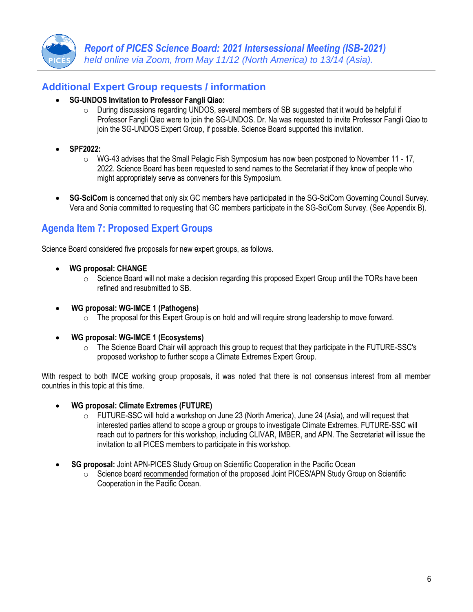

### **Additional Expert Group requests / information**

- **SG-UNDOS Invitation to Professor Fangli Qiao:** 
	- $\circ$  During discussions regarding UNDOS, several members of SB suggested that it would be helpful if Professor Fangli Qiao were to join the SG-UNDOS. Dr. Na was requested to invite Professor Fangli Qiao to join the SG-UNDOS Expert Group, if possible. Science Board supported this invitation.
- **SPF2022:**
	- $\circ$  WG-43 advises that the Small Pelagic Fish Symposium has now been postponed to November 11 17, 2022. Science Board has been requested to send names to the Secretariat if they know of people who might appropriately serve as conveners for this Symposium.
- **SG-SciCom** is concerned that only six GC members have participated in the SG-SciCom Governing Council Survey. Vera and Sonia committed to requesting that GC members participate in the SG-SciCom Survey. (See Appendix B).

### **Agenda Item 7: Proposed Expert Groups**

Science Board considered five proposals for new expert groups, as follows.

- **WG proposal: CHANGE**
	- $\circ$  Science Board will not make a decision regarding this proposed Expert Group until the TORs have been refined and resubmitted to SB.
- **WG proposal: WG-IMCE 1 (Pathogens)** 
	- $\circ$  The proposal for this Expert Group is on hold and will require strong leadership to move forward.
- **WG proposal: WG-IMCE 1 (Ecosystems)** 
	- $\circ$  The Science Board Chair will approach this group to request that they participate in the FUTURE-SSC's proposed workshop to further scope a Climate Extremes Expert Group.

With respect to both IMCE working group proposals, it was noted that there is not consensus interest from all member countries in this topic at this time.

- **WG proposal: Climate Extremes (FUTURE)** 
	- $\circ$  FUTURE-SSC will hold a workshop on June 23 (North America), June 24 (Asia), and will request that interested parties attend to scope a group or groups to investigate Climate Extremes. FUTURE-SSC will reach out to partners for this workshop, including CLIVAR, IMBER, and APN. The Secretariat will issue the invitation to all PICES members to participate in this workshop.
- **SG proposal:** Joint APN-PICES Study Group on Scientific Cooperation in the Pacific Ocean
	- $\circ$  Science board recommended formation of the proposed Joint PICES/APN Study Group on Scientific Cooperation in the Pacific Ocean.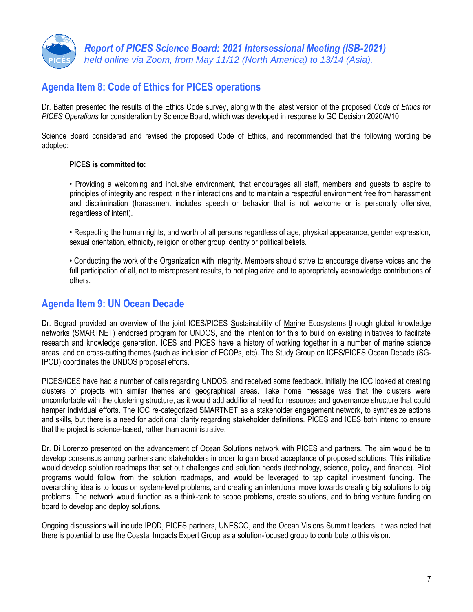

### **Agenda Item 8: Code of Ethics for PICES operations**

Dr. Batten presented the results of the Ethics Code survey, along with the latest version of the proposed *Code of Ethics for PICES Operations* for consideration by Science Board, which was developed in response to GC Decision 2020/A/10.

Science Board considered and revised the proposed Code of Ethics, and recommended that the following wording be adopted:

#### **PICES is committed to:**

• Providing a welcoming and inclusive environment, that encourages all staff, members and guests to aspire to principles of integrity and respect in their interactions and to maintain a respectful environment free from harassment and discrimination (harassment includes speech or behavior that is not welcome or is personally offensive, regardless of intent).

• Respecting the human rights, and worth of all persons regardless of age, physical appearance, gender expression, sexual orientation, ethnicity, religion or other group identity or political beliefs.

• Conducting the work of the Organization with integrity. Members should strive to encourage diverse voices and the full participation of all, not to misrepresent results, to not plagiarize and to appropriately acknowledge contributions of others.

### **Agenda Item 9: UN Ocean Decade**

Dr. Bograd provided an overview of the joint ICES/PICES Sustainability of Marine Ecosystems through global knowledge networks (SMARTNET) endorsed program for UNDOS, and the intention for this to build on existing initiatives to facilitate research and knowledge generation. ICES and PICES have a history of working together in a number of marine science areas, and on cross-cutting themes (such as inclusion of ECOPs, etc). The Study Group on ICES/PICES Ocean Decade (SG-IPOD) coordinates the UNDOS proposal efforts.

PICES/ICES have had a number of calls regarding UNDOS, and received some feedback. Initially the IOC looked at creating clusters of projects with similar themes and geographical areas. Take home message was that the clusters were uncomfortable with the clustering structure, as it would add additional need for resources and governance structure that could hamper individual efforts. The IOC re-categorized SMARTNET as a stakeholder engagement network, to synthesize actions and skills, but there is a need for additional clarity regarding stakeholder definitions. PICES and ICES both intend to ensure that the project is science-based, rather than administrative.

Dr. Di Lorenzo presented on the advancement of Ocean Solutions network with PICES and partners. The aim would be to develop consensus among partners and stakeholders in order to gain broad acceptance of proposed solutions. This initiative would develop solution roadmaps that set out challenges and solution needs (technology, science, policy, and finance). Pilot programs would follow from the solution roadmaps, and would be leveraged to tap capital investment funding. The overarching idea is to focus on system-level problems, and creating an intentional move towards creating big solutions to big problems. The network would function as a think-tank to scope problems, create solutions, and to bring venture funding on board to develop and deploy solutions.

Ongoing discussions will include IPOD, PICES partners, UNESCO, and the Ocean Visions Summit leaders. It was noted that there is potential to use the Coastal Impacts Expert Group as a solution-focused group to contribute to this vision.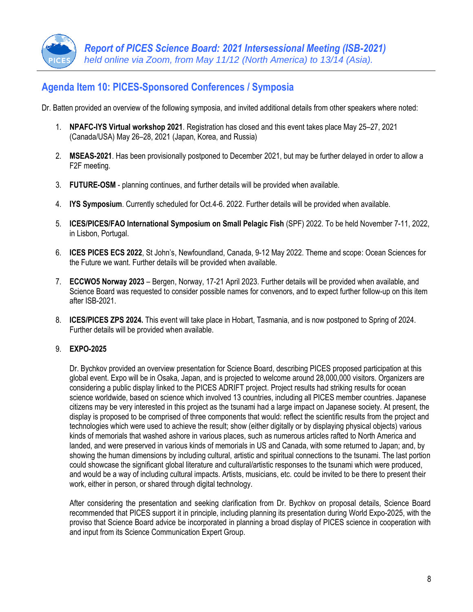# **Agenda Item 10: PICES-Sponsored Conferences / Symposia**

Dr. Batten provided an overview of the following symposia, and invited additional details from other speakers where noted:

- 1. **NPAFC-IYS Virtual workshop 2021**. Registration has closed and this event takes place May 25–27, 2021 (Canada/USA) May 26–28, 2021 (Japan, Korea, and Russia)
- 2. **MSEAS-2021**. Has been provisionally postponed to December 2021, but may be further delayed in order to allow a F2F meeting.
- 3. **FUTURE-OSM** planning continues, and further details will be provided when available.
- 4. **IYS Symposium**. Currently scheduled for Oct.4-6. 2022. Further details will be provided when available.
- 5. **ICES/PICES/FAO International Symposium on Small Pelagic Fish** (SPF) 2022. To be held November 7-11, 2022, in Lisbon, Portugal.
- 6. **ICES PICES ECS 2022**, St John's, Newfoundland, Canada, 9-12 May 2022. Theme and scope: Ocean Sciences for the Future we want. Further details will be provided when available.
- 7. **ECCWO5 Norway 2023** Bergen, Norway, 17-21 April 2023. Further details will be provided when available, and Science Board was requested to consider possible names for convenors, and to expect further follow-up on this item after ISB-2021.
- 8. **ICES/PICES ZPS 2024.** This event will take place in Hobart, Tasmania, and is now postponed to Spring of 2024. Further details will be provided when available.

### 9. **EXPO-2025**

Dr. Bychkov provided an overview presentation for Science Board, describing PICES proposed participation at this global event. Expo will be in Osaka, Japan, and is projected to welcome around 28,000,000 visitors. Organizers are considering a public display linked to the PICES ADRIFT project. Project results had striking results for ocean science worldwide, based on science which involved 13 countries, including all PICES member countries. Japanese citizens may be very interested in this project as the tsunami had a large impact on Japanese society. At present, the display is proposed to be comprised of three components that would: reflect the scientific results from the project and technologies which were used to achieve the result; show (either digitally or by displaying physical objects) various kinds of memorials that washed ashore in various places, such as numerous articles rafted to North America and landed, and were preserved in various kinds of memorials in US and Canada, with some returned to Japan; and, by showing the human dimensions by including cultural, artistic and spiritual connections to the tsunami. The last portion could showcase the significant global literature and cultural/artistic responses to the tsunami which were produced, and would be a way of including cultural impacts. Artists, musicians, etc. could be invited to be there to present their work, either in person, or shared through digital technology.

After considering the presentation and seeking clarification from Dr. Bychkov on proposal details, Science Board recommended that PICES support it in principle, including planning its presentation during World Expo-2025, with the proviso that Science Board advice be incorporated in planning a broad display of PICES science in cooperation with and input from its Science Communication Expert Group.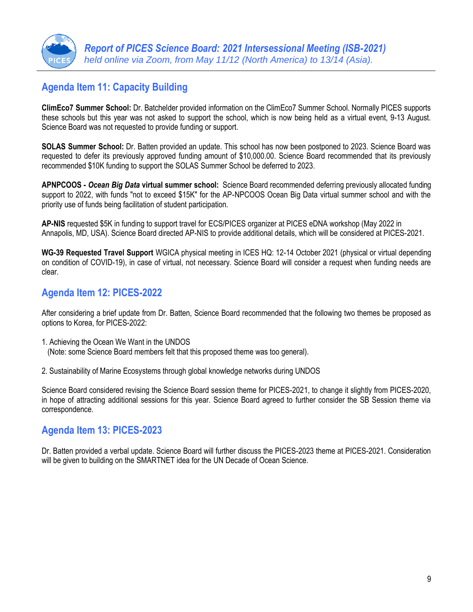

# **Agenda Item 11: Capacity Building**

**ClimEco7 Summer School:** Dr. Batchelder provided information on the ClimEco7 Summer School. Normally PICES supports these schools but this year was not asked to support the school, which is now being held as a virtual event, 9-13 August. Science Board was not requested to provide funding or support.

**SOLAS Summer School:** Dr. Batten provided an update. This school has now been postponed to 2023. Science Board was requested to defer its previously approved funding amount of \$10,000.00. Science Board recommended that its previously recommended \$10K funding to support the SOLAS Summer School be deferred to 2023.

**APNPCOOS -** *Ocean Big Data* **virtual summer school:** Science Board recommended deferring previously allocated funding support to 2022, with funds "not to exceed \$15K" for the AP-NPCOOS Ocean Big Data virtual summer school and with the priority use of funds being facilitation of student participation.

**AP-NIS** requested \$5K in funding to support travel for ECS/PICES organizer at PICES eDNA workshop (May 2022 in Annapolis, MD, USA). Science Board directed AP-NIS to provide additional details, which will be considered at PICES-2021.

**WG-39 Requested Travel Support** WGICA physical meeting in ICES HQ: 12-14 October 2021 (physical or virtual depending on condition of COVID-19), in case of virtual, not necessary. Science Board will consider a request when funding needs are clear.

### **Agenda Item 12: PICES-2022**

After considering a brief update from Dr. Batten, Science Board recommended that the following two themes be proposed as options to Korea, for PICES-2022:

- 1. Achieving the Ocean We Want in the UNDOS (Note: some Science Board members felt that this proposed theme was too general).
- 2. Sustainability of Marine Ecosystems through global knowledge networks during UNDOS

Science Board considered revising the Science Board session theme for PICES-2021, to change it slightly from PICES-2020, in hope of attracting additional sessions for this year. Science Board agreed to further consider the SB Session theme via correspondence.

# **Agenda Item 13: PICES-2023**

Dr. Batten provided a verbal update. Science Board will further discuss the PICES-2023 theme at PICES-2021. Consideration will be given to building on the SMARTNET idea for the UN Decade of Ocean Science.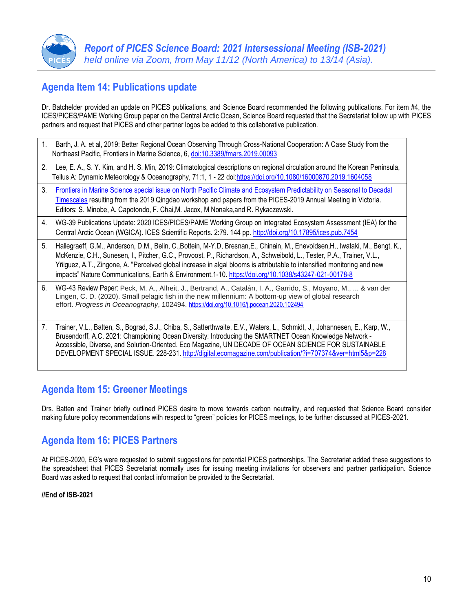

# **Agenda Item 14: Publications update**

Dr. Batchelder provided an update on PICES publications, and Science Board recommended the following publications. For item #4, the ICES/PICES/PAME Working Group paper on the Central Arctic Ocean, Science Board requested that the Secretariat follow up with PICES partners and request that PICES and other partner logos be added to this collaborative publication.

- 1. Barth, J. A. et al, 2019: Better Regional Ocean Observing Through Cross-National Cooperation: A Case Study from the Northeast Pacific, Frontiers in Marine Science, 6, [doi:10.3389/fmars.2019.00093](https://www.frontiersin.org/articles/10.3389/fmars.2019.00093/full)
- 2. Lee, E. A., S. Y. Kim, and H. S. Min, 2019: Climatological descriptions on regional circulation around the Korean Peninsula, Tellus A: Dynamic Meteorology & Oceanography, 71:1, 1 - 22 doi[:https://doi.org/10.1080/16000870.2019.1604058](https://doi.org/10.1080/16000870.2019.1604058)
- 3. [Frontiers in Marine Science special issue on North Pacific Climate and Ecosystem Predictability on Seasonal to Decadal](https://www.frontiersin.org/research-topics/12240/north-pacific-climate-and-ecosystem-predictability-on-seasonal-to-decadal-timescales#overview)  [Timescales](https://www.frontiersin.org/research-topics/12240/north-pacific-climate-and-ecosystem-predictability-on-seasonal-to-decadal-timescales#overview) resulting from the 2019 Qingdao workshop and papers from the PICES-2019 Annual Meeting in Victoria. Editors: S. Minobe, A. Capotondo, F. Chai,M. Jacox, M Nonaka,and R. Rykaczewski.
- 4. WG-39 Publications Update: 2020 ICES/PICES/PAME Working Group on Integrated Ecosystem Assessment (IEA) for the Central Arctic Ocean (WGICA). ICES Scientific Reports. 2:79. 144 pp. <http://doi.org/10.17895/ices.pub.7454>
- 5. Hallegraeff, G.M., Anderson, D.M., Belin, C.,Bottein, M-Y.D, Bresnan,E., Chinain, M., Enevoldsen,H., Iwataki, M., Bengt, K., McKenzie, C.H., Sunesen, I., Pitcher, G.C., Provoost, P., Richardson, A., Schweibold, L., Tester, P.A., Trainer, V.L., Yñiguez, A.T., Zingone, A. "Perceived global increase in algal blooms is attributable to intensified monitoring and new impacts" Nature Communications, Earth & Environment.1-10[. https://doi.org/10.1038/s43247-021-00178-8](https://doi.org/10.1038/s43247-021-00178-8)
- 6. WG-43 Review Paper: Peck, M. A., Alheit, J., Bertrand, A., Catalán, I. A., Garrido, S., Moyano, M., ... & van der Lingen, C. D. (2020). Small pelagic fish in the new millennium: A bottom-up view of global research effort. *Progress in Oceanography*, 102494. <https://doi.org/10.1016/j.pocean.2020.102494>
- 7. Trainer, V.L., Batten, S., Bograd, S.J., Chiba, S., Satterthwaite, E.V., Waters, L., Schmidt, J., Johannesen, E., Karp, W., Brusendorff, A.C. 2021: Championing Ocean Diversity: Introducing the SMARTNET Ocean Knowledge Network - Accessible, Diverse, and Solution-Oriented. Eco Magazine, UN DECADE OF OCEAN SCIENCE FOR SUSTAINABLE DEVELOPMENT SPECIAL ISSUE. 228-231. <http://digital.ecomagazine.com/publication/?i=707374&ver=html5&p=228>

# **Agenda Item 15: Greener Meetings**

Drs. Batten and Trainer briefly outlined PICES desire to move towards carbon neutrality, and requested that Science Board consider making future policy recommendations with respect to "green" policies for PICES meetings, to be further discussed at PICES-2021.

# **Agenda Item 16: PICES Partners**

At PICES-2020, EG's were requested to submit suggestions for potential PICES partnerships. The Secretariat added these suggestions to the spreadsheet that PICES Secretariat normally uses for issuing meeting invitations for observers and partner participation. Science Board was asked to request that contact information be provided to the Secretariat.

#### **//End of ISB-2021**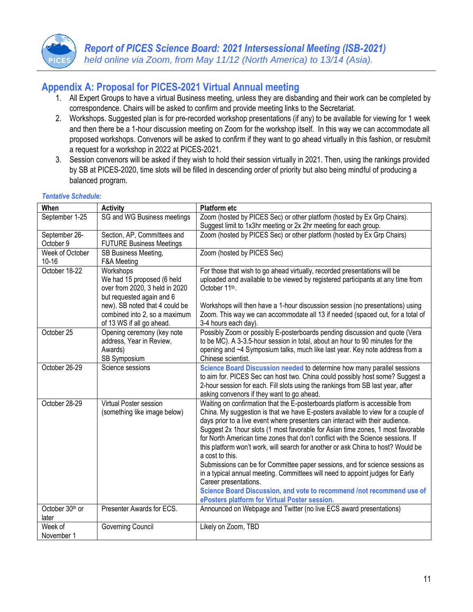

# **Appendix A: Proposal for PICES-2021 Virtual Annual meeting**

- 1. All Expert Groups to have a virtual Business meeting, unless they are disbanding and their work can be completed by correspondence. Chairs will be asked to confirm and provide meeting links to the Secretariat.
- 2. Workshops. Suggested plan is for pre-recorded workshop presentations (if any) to be available for viewing for 1 week and then there be a 1-hour discussion meeting on Zoom for the workshop itself. In this way we can accommodate all proposed workshops. Convenors will be asked to confirm if they want to go ahead virtually in this fashion, or resubmit a request for a workshop in 2022 at PICES-2021.
- 3. Session convenors will be asked if they wish to hold their session virtually in 2021. Then, using the rankings provided by SB at PICES-2020, time slots will be filled in descending order of priority but also being mindful of producing a balanced program.

| When                         | <b>Activity</b>                                                                                                                                                                                        | <b>Platform etc</b>                                                                                                                                                                                                                                                                                                                                                                                                                                                                                                                                                                                                                                                                                                                                                                                                                               |
|------------------------------|--------------------------------------------------------------------------------------------------------------------------------------------------------------------------------------------------------|---------------------------------------------------------------------------------------------------------------------------------------------------------------------------------------------------------------------------------------------------------------------------------------------------------------------------------------------------------------------------------------------------------------------------------------------------------------------------------------------------------------------------------------------------------------------------------------------------------------------------------------------------------------------------------------------------------------------------------------------------------------------------------------------------------------------------------------------------|
| September 1-25               | SG and WG Business meetings                                                                                                                                                                            | Zoom (hosted by PICES Sec) or other platform (hosted by Ex Grp Chairs).<br>Suggest limit to 1x3hr meeting or 2x 2hr meeting for each group.                                                                                                                                                                                                                                                                                                                                                                                                                                                                                                                                                                                                                                                                                                       |
| September 26-<br>October 9   | Section, AP, Committees and<br><b>FUTURE Business Meetings</b>                                                                                                                                         | Zoom (hosted by PICES Sec) or other platform (hosted by Ex Grp Chairs)                                                                                                                                                                                                                                                                                                                                                                                                                                                                                                                                                                                                                                                                                                                                                                            |
| Week of October<br>$10 - 16$ | SB Business Meeting,<br>F&A Meeting                                                                                                                                                                    | Zoom (hosted by PICES Sec)                                                                                                                                                                                                                                                                                                                                                                                                                                                                                                                                                                                                                                                                                                                                                                                                                        |
| October 18-22                | Workshops<br>We had 15 proposed (6 held<br>over from 2020, 3 held in 2020<br>but requested again and 6<br>new). SB noted that 4 could be<br>combined into 2, so a maximum<br>of 13 WS if all go ahead. | For those that wish to go ahead virtually, recorded presentations will be<br>uploaded and available to be viewed by registered participants at any time from<br>October 11th.<br>Workshops will then have a 1-hour discussion session (no presentations) using<br>Zoom. This way we can accommodate all 13 if needed (spaced out, for a total of<br>3-4 hours each day).                                                                                                                                                                                                                                                                                                                                                                                                                                                                          |
| October 25                   | Opening ceremony (key note<br>address, Year in Review,<br>Awards)<br>SB Symposium                                                                                                                      | Possibly Zoom or possibly E-posterboards pending discussion and quote (Vera<br>to be MC). A 3-3.5-hour session in total, about an hour to 90 minutes for the<br>opening and ~4 Symposium talks, much like last year. Key note address from a<br>Chinese scientist.                                                                                                                                                                                                                                                                                                                                                                                                                                                                                                                                                                                |
| October 26-29                | Science sessions                                                                                                                                                                                       | Science Board Discussion needed to determine how many parallel sessions<br>to aim for. PICES Sec can host two. China could possibly host some? Suggest a<br>2-hour session for each. Fill slots using the rankings from SB last year, after<br>asking convenors if they want to go ahead.                                                                                                                                                                                                                                                                                                                                                                                                                                                                                                                                                         |
| October 28-29                | Virtual Poster session<br>(something like image below)                                                                                                                                                 | Waiting on confirmation that the E-posterboards platform is accessible from<br>China. My suggestion is that we have E-posters available to view for a couple of<br>days prior to a live event where presenters can interact with their audience.<br>Suggest 2x 1hour slots (1 most favorable for Asian time zones, 1 most favorable<br>for North American time zones that don't conflict with the Science sessions. If<br>this platform won't work, will search for another or ask China to host? Would be<br>a cost to this.<br>Submissions can be for Committee paper sessions, and for science sessions as<br>in a typical annual meeting. Committees will need to appoint judges for Early<br>Career presentations.<br>Science Board Discussion, and vote to recommend /not recommend use of<br>ePosters platform for Virtual Poster session. |
| October 30th or<br>later     | Presenter Awards for ECS.                                                                                                                                                                              | Announced on Webpage and Twitter (no live ECS award presentations)                                                                                                                                                                                                                                                                                                                                                                                                                                                                                                                                                                                                                                                                                                                                                                                |
| Week of<br>November 1        | Governing Council                                                                                                                                                                                      | Likely on Zoom, TBD                                                                                                                                                                                                                                                                                                                                                                                                                                                                                                                                                                                                                                                                                                                                                                                                                               |

#### *Tentative Schedule:*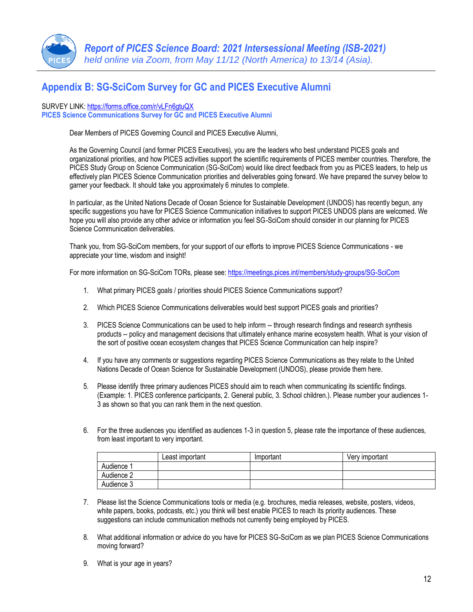

# **Appendix B: SG-SciCom Survey for GC and PICES Executive Alumni**

#### SURVEY LINK:<https://forms.office.com/r/vLFn6gtuQX>

**PICES Science Communications Survey for GC and PICES Executive Alumni**

Dear Members of PICES Governing Council and PICES Executive Alumni,

As the Governing Council (and former PICES Executives), you are the leaders who best understand PICES goals and organizational priorities, and how PICES activities support the scientific requirements of PICES member countries. Therefore, the PICES Study Group on Science Communication (SG-SciCom) would like direct feedback from you as PICES leaders, to help us effectively plan PICES Science Communication priorities and deliverables going forward. We have prepared the survey below to garner your feedback. It should take you approximately 6 minutes to complete.

In particular, as the United Nations Decade of Ocean Science for Sustainable Development (UNDOS) has recently begun, any specific suggestions you have for PICES Science Communication initiatives to support PICES UNDOS plans are welcomed. We hope you will also provide any other advice or information you feel SG-SciCom should consider in our planning for PICES Science Communication deliverables.

Thank you, from SG-SciCom members, for your support of our efforts to improve PICES Science Communications - we appreciate your time, wisdom and insight!

For more information on SG-SciCom TORs, please see[: https://meetings.pices.int/members/study-groups/SG-SciCom](https://meetings.pices.int/members/study-groups/SG-SciCom)

- 1. What primary PICES goals / priorities should PICES Science Communications support?
- 2. Which PICES Science Communications deliverables would best support PICES goals and priorities?
- 3. PICES Science Communications can be used to help inform -- through research findings and research synthesis products -- policy and management decisions that ultimately enhance marine ecosystem health. What is your vision of the sort of positive ocean ecosystem changes that PICES Science Communication can help inspire?
- 4. If you have any comments or suggestions regarding PICES Science Communications as they relate to the United Nations Decade of Ocean Science for Sustainable Development (UNDOS), please provide them here.
- 5. Please identify three primary audiences PICES should aim to reach when communicating its scientific findings. (Example: 1. PICES conference participants, 2. General public, 3. School children.). Please number your audiences 1- 3 as shown so that you can rank them in the next question.
- 6. For the three audiences you identified as audiences 1-3 in question 5, please rate the importance of these audiences, from least important to very important.

|            | Least important | Important | Verv important |
|------------|-----------------|-----------|----------------|
| Audience   |                 |           |                |
| Audience 2 |                 |           |                |
| Audience 3 |                 |           |                |

- 7. Please list the Science Communications tools or media (e.g. brochures, media releases, website, posters, videos, white papers, books, podcasts, etc.) you think will best enable PICES to reach its priority audiences. These suggestions can include communication methods not currently being employed by PICES.
- 8. What additional information or advice do you have for PICES SG-SciCom as we plan PICES Science Communications moving forward?
- 9. What is your age in years?